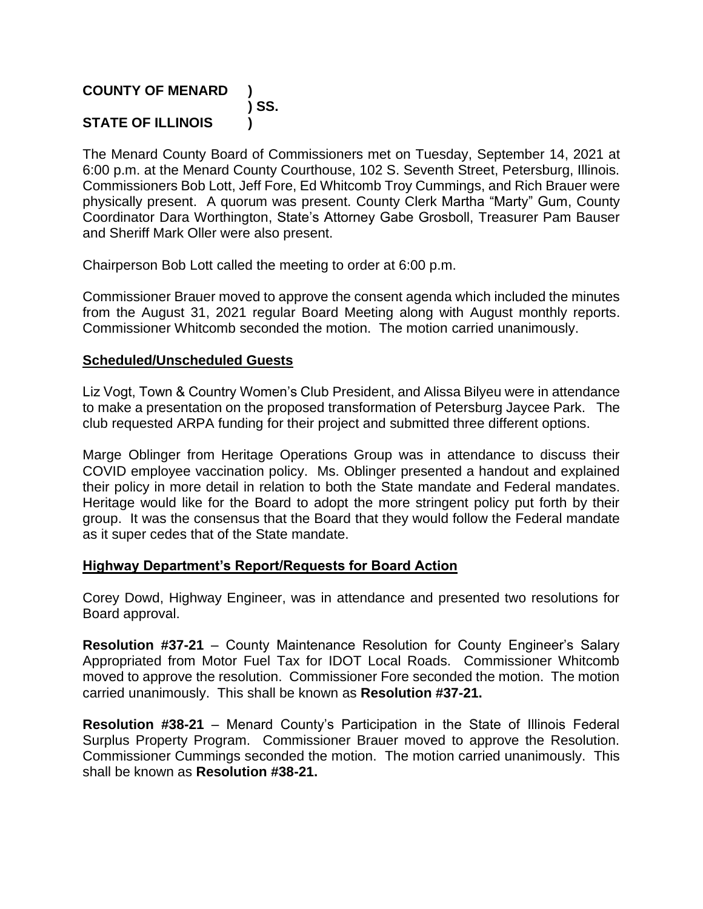### **COUNTY OF MENARD ) ) SS. STATE OF ILLINOIS )**

The Menard County Board of Commissioners met on Tuesday, September 14, 2021 at 6:00 p.m. at the Menard County Courthouse, 102 S. Seventh Street, Petersburg, Illinois. Commissioners Bob Lott, Jeff Fore, Ed Whitcomb Troy Cummings, and Rich Brauer were physically present. A quorum was present. County Clerk Martha "Marty" Gum, County Coordinator Dara Worthington, State's Attorney Gabe Grosboll, Treasurer Pam Bauser and Sheriff Mark Oller were also present.

Chairperson Bob Lott called the meeting to order at 6:00 p.m.

Commissioner Brauer moved to approve the consent agenda which included the minutes from the August 31, 2021 regular Board Meeting along with August monthly reports. Commissioner Whitcomb seconded the motion. The motion carried unanimously.

#### **Scheduled/Unscheduled Guests**

Liz Vogt, Town & Country Women's Club President, and Alissa Bilyeu were in attendance to make a presentation on the proposed transformation of Petersburg Jaycee Park. The club requested ARPA funding for their project and submitted three different options.

Marge Oblinger from Heritage Operations Group was in attendance to discuss their COVID employee vaccination policy. Ms. Oblinger presented a handout and explained their policy in more detail in relation to both the State mandate and Federal mandates. Heritage would like for the Board to adopt the more stringent policy put forth by their group. It was the consensus that the Board that they would follow the Federal mandate as it super cedes that of the State mandate.

#### **Highway Department's Report/Requests for Board Action**

Corey Dowd, Highway Engineer, was in attendance and presented two resolutions for Board approval.

**Resolution #37-21** – County Maintenance Resolution for County Engineer's Salary Appropriated from Motor Fuel Tax for IDOT Local Roads. Commissioner Whitcomb moved to approve the resolution. Commissioner Fore seconded the motion. The motion carried unanimously. This shall be known as **Resolution #37-21.**

**Resolution #38-21** – Menard County's Participation in the State of Illinois Federal Surplus Property Program. Commissioner Brauer moved to approve the Resolution. Commissioner Cummings seconded the motion. The motion carried unanimously. This shall be known as **Resolution #38-21.**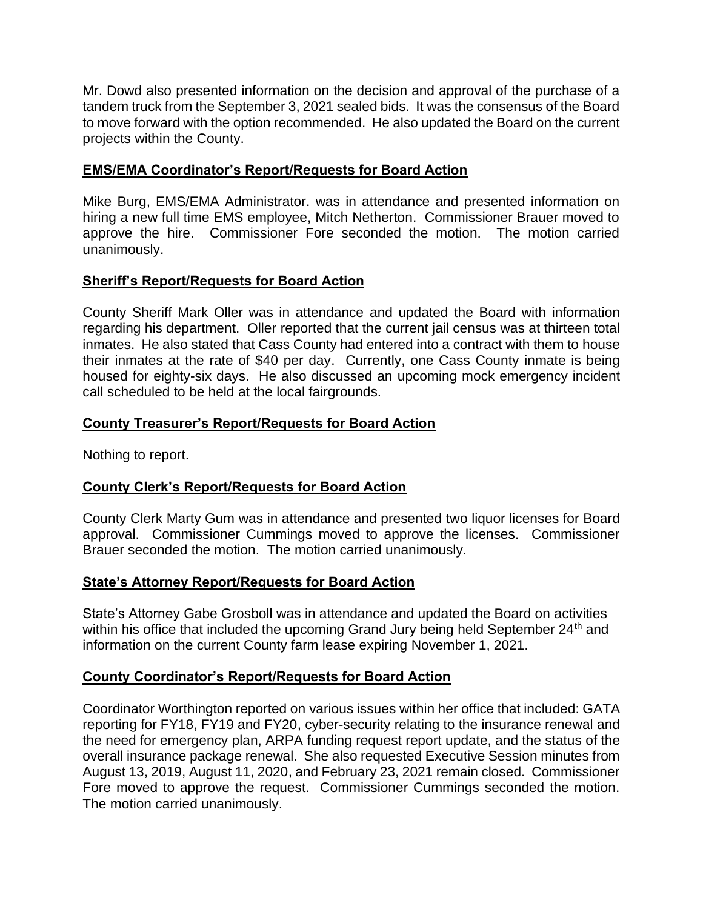Mr. Dowd also presented information on the decision and approval of the purchase of a tandem truck from the September 3, 2021 sealed bids. It was the consensus of the Board to move forward with the option recommended. He also updated the Board on the current projects within the County.

### **EMS/EMA Coordinator's Report/Requests for Board Action**

Mike Burg, EMS/EMA Administrator. was in attendance and presented information on hiring a new full time EMS employee, Mitch Netherton. Commissioner Brauer moved to approve the hire. Commissioner Fore seconded the motion. The motion carried unanimously.

### **Sheriff's Report/Requests for Board Action**

County Sheriff Mark Oller was in attendance and updated the Board with information regarding his department. Oller reported that the current jail census was at thirteen total inmates. He also stated that Cass County had entered into a contract with them to house their inmates at the rate of \$40 per day. Currently, one Cass County inmate is being housed for eighty-six days. He also discussed an upcoming mock emergency incident call scheduled to be held at the local fairgrounds.

### **County Treasurer's Report/Requests for Board Action**

Nothing to report.

# **County Clerk's Report/Requests for Board Action**

County Clerk Marty Gum was in attendance and presented two liquor licenses for Board approval. Commissioner Cummings moved to approve the licenses. Commissioner Brauer seconded the motion. The motion carried unanimously.

#### **State's Attorney Report/Requests for Board Action**

State's Attorney Gabe Grosboll was in attendance and updated the Board on activities within his office that included the upcoming Grand Jury being held September 24<sup>th</sup> and information on the current County farm lease expiring November 1, 2021.

# **County Coordinator's Report/Requests for Board Action**

Coordinator Worthington reported on various issues within her office that included: GATA reporting for FY18, FY19 and FY20, cyber-security relating to the insurance renewal and the need for emergency plan, ARPA funding request report update, and the status of the overall insurance package renewal. She also requested Executive Session minutes from August 13, 2019, August 11, 2020, and February 23, 2021 remain closed. Commissioner Fore moved to approve the request. Commissioner Cummings seconded the motion. The motion carried unanimously.